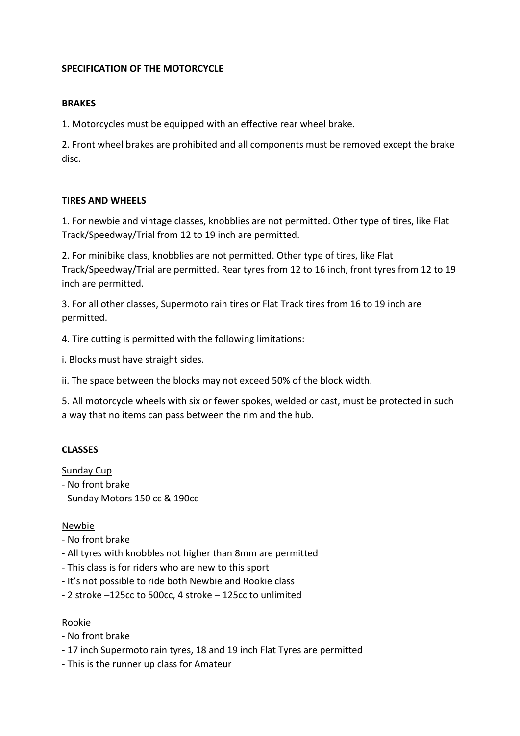# **SPECIFICATION OF THE MOTORCYCLE**

### **BRAKES**

1. Motorcycles must be equipped with an effective rear wheel brake.

2. Front wheel brakes are prohibited and all components must be removed except the brake disc.

### **TIRES AND WHEELS**

1. For newbie and vintage classes, knobblies are not permitted. Other type of tires, like Flat Track/Speedway/Trial from 12 to 19 inch are permitted.

2. For minibike class, knobblies are not permitted. Other type of tires, like Flat Track/Speedway/Trial are permitted. Rear tyres from 12 to 16 inch, front tyres from 12 to 19 inch are permitted.

3. For all other classes, Supermoto rain tires or Flat Track tires from 16 to 19 inch are permitted.

4. Tire cutting is permitted with the following limitations:

i. Blocks must have straight sides.

ii. The space between the blocks may not exceed 50% of the block width.

5. All motorcycle wheels with six or fewer spokes, welded or cast, must be protected in such a way that no items can pass between the rim and the hub.

# **CLASSES**

Sunday Cup

- No front brake
- Sunday Motors 150 cc & 190cc

### Newbie

- No front brake
- All tyres with knobbles not higher than 8mm are permitted
- This class is for riders who are new to this sport
- It's not possible to ride both Newbie and Rookie class
- 2 stroke –125cc to 500cc, 4 stroke 125cc to unlimited

### Rookie

- No front brake
- 17 inch Supermoto rain tyres, 18 and 19 inch Flat Tyres are permitted
- This is the runner up class for Amateur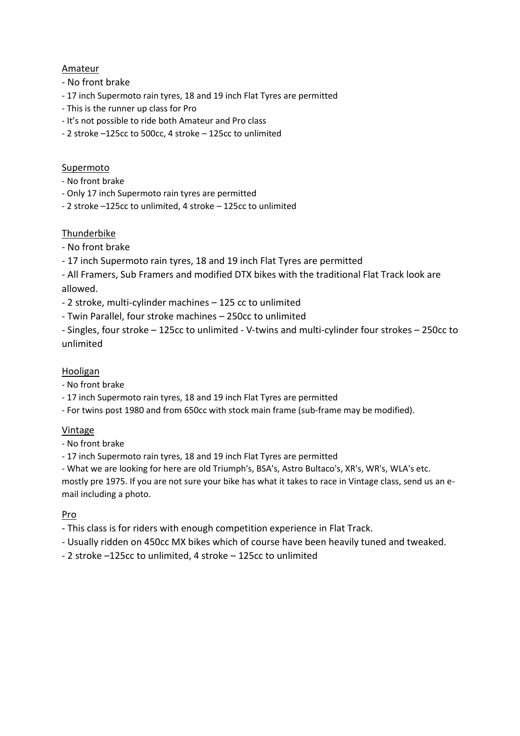# Amateur

- No front brake
- 17 inch Supermoto rain tyres, 18 and 19 inch Flat Tyres are permitted
- This is the runner up class for Pro
- It's not possible to ride both Amateur and Pro class
- 2 stroke –125cc to 500cc, 4 stroke 125cc to unlimited

# Supermoto

- No front brake
- Only 17 inch Supermoto rain tyres are permitted
- 2 stroke –125cc to unlimited, 4 stroke 125cc to unlimited

# Thunderbike

- No front brake
- 17 inch Supermoto rain tyres, 18 and 19 inch Flat Tyres are permitted
- All Framers, Sub Framers and modified DTX bikes with the traditional Flat Track look are allowed.
- 2 stroke, multi-cylinder machines 125 cc to unlimited
- Twin Parallel, four stroke machines 250cc to unlimited
- Singles, four stroke 125cc to unlimited V-twins and multi-cylinder four strokes 250cc to unlimited

# Hooligan

- No front brake
- 17 inch Supermoto rain tyres, 18 and 19 inch Flat Tyres are permitted
- For twins post 1980 and from 650cc with stock main frame (sub-frame may be modified).

### Vintage

- No front brake
- 17 inch Supermoto rain tyres, 18 and 19 inch Flat Tyres are permitted
- What we are looking for here are old Triumph's, BSA's, Astro Bultaco's, XR's, WR's, WLA's etc.

mostly pre 1975. If you are not sure your bike has what it takes to race in Vintage class, send us an email including a photo.

### Pro

- This class is for riders with enough competition experience in Flat Track.
- Usually ridden on 450cc MX bikes which of course have been heavily tuned and tweaked.
- 2 stroke –125cc to unlimited, 4 stroke 125cc to unlimited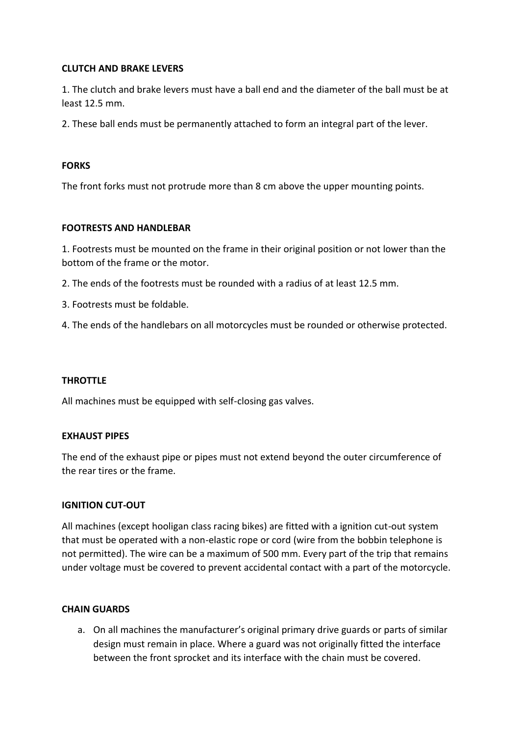### **CLUTCH AND BRAKE LEVERS**

1. The clutch and brake levers must have a ball end and the diameter of the ball must be at least 12.5 mm.

2. These ball ends must be permanently attached to form an integral part of the lever.

### **FORKS**

The front forks must not protrude more than 8 cm above the upper mounting points.

### **FOOTRESTS AND HANDLEBAR**

1. Footrests must be mounted on the frame in their original position or not lower than the bottom of the frame or the motor.

2. The ends of the footrests must be rounded with a radius of at least 12.5 mm.

3. Footrests must be foldable.

4. The ends of the handlebars on all motorcycles must be rounded or otherwise protected.

### **THROTTLE**

All machines must be equipped with self-closing gas valves.

### **EXHAUST PIPES**

The end of the exhaust pipe or pipes must not extend beyond the outer circumference of the rear tires or the frame.

### **IGNITION CUT-OUT**

All machines (except hooligan class racing bikes) are fitted with a ignition cut-out system that must be operated with a non-elastic rope or cord (wire from the bobbin telephone is not permitted). The wire can be a maximum of 500 mm. Every part of the trip that remains under voltage must be covered to prevent accidental contact with a part of the motorcycle.

### **CHAIN GUARDS**

a. On all machines the manufacturer's original primary drive guards or parts of similar design must remain in place. Where a guard was not originally fitted the interface between the front sprocket and its interface with the chain must be covered.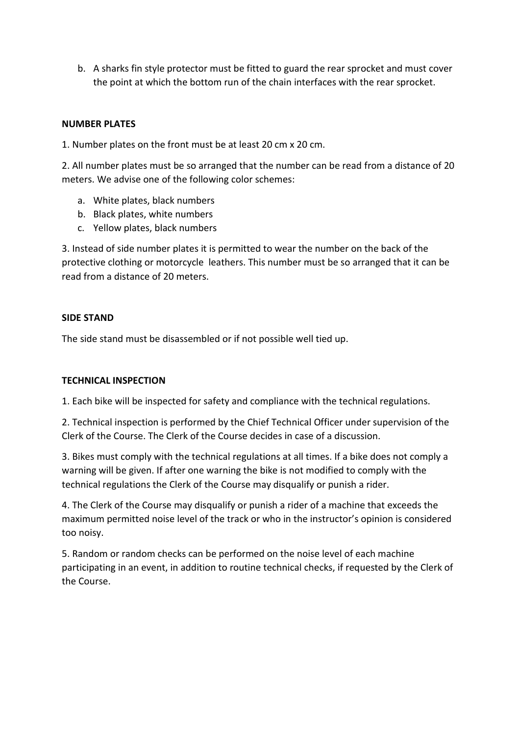b. A sharks fin style protector must be fitted to guard the rear sprocket and must cover the point at which the bottom run of the chain interfaces with the rear sprocket.

# **NUMBER PLATES**

1. Number plates on the front must be at least 20 cm x 20 cm.

2. All number plates must be so arranged that the number can be read from a distance of 20 meters. We advise one of the following color schemes:

- a. White plates, black numbers
- b. Black plates, white numbers
- c. Yellow plates, black numbers

3. Instead of side number plates it is permitted to wear the number on the back of the protective clothing or motorcycle leathers. This number must be so arranged that it can be read from a distance of 20 meters.

### **SIDE STAND**

The side stand must be disassembled or if not possible well tied up.

### **TECHNICAL INSPECTION**

1. Each bike will be inspected for safety and compliance with the technical regulations.

2. Technical inspection is performed by the Chief Technical Officer under supervision of the Clerk of the Course. The Clerk of the Course decides in case of a discussion.

3. Bikes must comply with the technical regulations at all times. If a bike does not comply a warning will be given. If after one warning the bike is not modified to comply with the technical regulations the Clerk of the Course may disqualify or punish a rider.

4. The Clerk of the Course may disqualify or punish a rider of a machine that exceeds the maximum permitted noise level of the track or who in the instructor's opinion is considered too noisy.

5. Random or random checks can be performed on the noise level of each machine participating in an event, in addition to routine technical checks, if requested by the Clerk of the Course.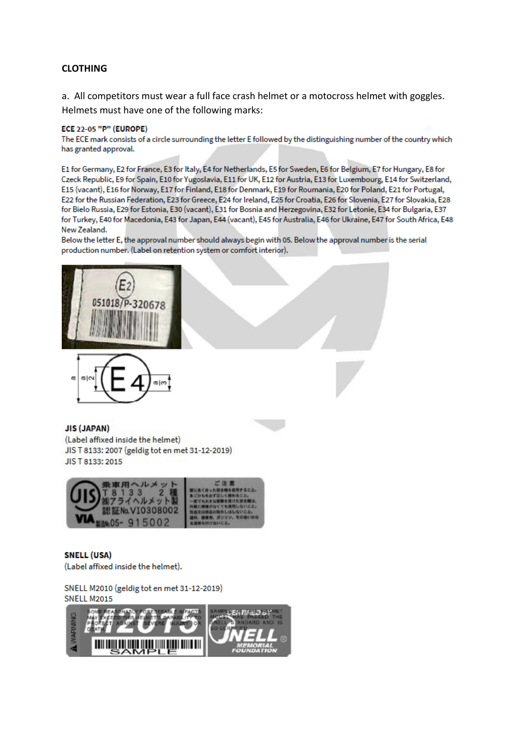### **CLOTHING**

a. All competitors must wear a full face crash helmet or a motocross helmet with goggles. Helmets must have one of the following marks:

#### **ECE 22-05 "P" (EUROPE)**

The ECE mark consists of a circle surrounding the letter E followed by the distinguishing number of the country which has granted approval.

E1 for Germany, E2 for France, E3 for Italy, E4 for Netherlands, E5 for Sweden, E6 for Belgium, E7 for Hungary, E8 for Czeck Republic, E9 for Spain, E10 for Yugoslavia, E11 for UK, E12 for Austria, E13 for Luxembourg, E14 for Switzerland, E15 (vacant), E16 for Norway, E17 for Finland, E18 for Denmark, E19 for Roumania, E20 for Poland, E21 for Portugal, E22 for the Russian Federation, E23 for Greece, E24 for Ireland, E25 for Croatia, E26 for Slovenia, E27 for Slovakia, E28 for Bielo Russia, E29 for Estonia, E30 (vacant), E31 for Bosnia and Herzegovina, E32 for Letonie, E34 for Bulgaria, E37 for Turkey, E40 for Macedonia, E43 for Japan, E44 (vacant), E45 for Australia, E46 for Ukraine, E47 for South Africa, E48 New Zealand.

Below the letter E, the approval number should always begin with 05. Below the approval number is the serial production number. (Label on retention system or comfort interior).





#### **JIS (JAPAN)**

(Label affixed inside the helmet) JIS T 8133: 2007 (geldig tot en met 31-12-2019) JIS T 8133: 2015



**SNELL (USA)** (Label affixed inside the helmet).

SNELL M2010 (geldig tot en met 31-12-2019) **SNELL M2015**